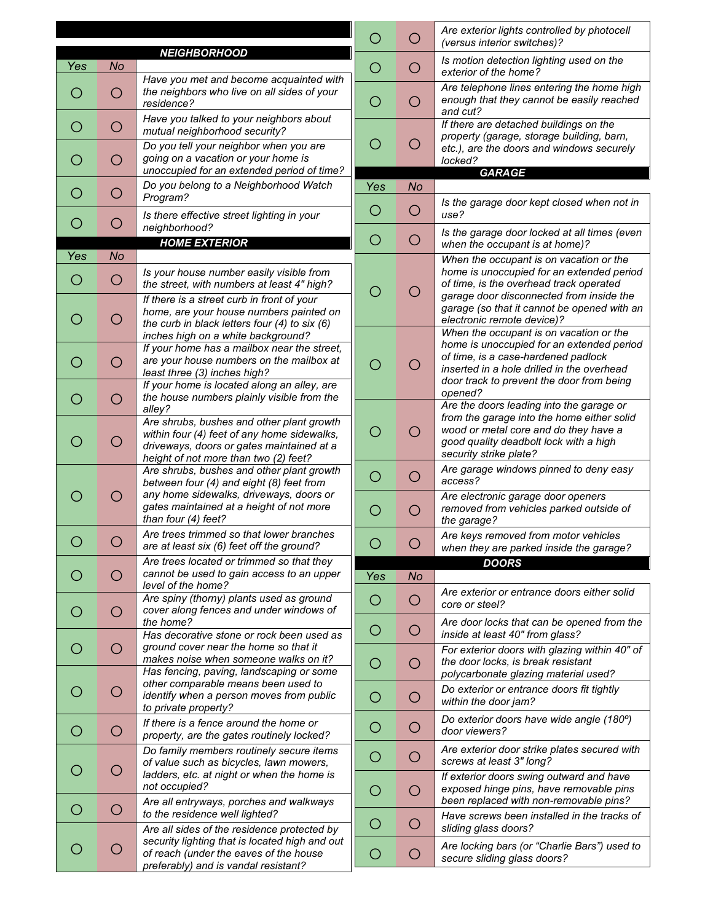|                     |                |                                                                                                                                                                                |                                                     | O                                                                | Are exterior lights controlled by photocell<br>(versus interior switches)?                                                                                                                                             |  |
|---------------------|----------------|--------------------------------------------------------------------------------------------------------------------------------------------------------------------------------|-----------------------------------------------------|------------------------------------------------------------------|------------------------------------------------------------------------------------------------------------------------------------------------------------------------------------------------------------------------|--|
| <b>NEIGHBORHOOD</b> |                |                                                                                                                                                                                |                                                     |                                                                  | Is motion detection lighting used on the                                                                                                                                                                               |  |
| Yes                 | No             | Have you met and become acquainted with                                                                                                                                        | O                                                   | O                                                                | exterior of the home?                                                                                                                                                                                                  |  |
| O                   | O              | the neighbors who live on all sides of your<br>residence?                                                                                                                      | $\circlearrowright$                                 | $\bigcirc$                                                       | Are telephone lines entering the home high<br>enough that they cannot be easily reached<br>and cut?                                                                                                                    |  |
| O                   | O              | Have you talked to your neighbors about<br>mutual neighborhood security?<br>Do you tell your neighbor when you are                                                             | O                                                   | O                                                                | If there are detached buildings on the<br>property (garage, storage building, barn,<br>etc.), are the doors and windows securely                                                                                       |  |
|                     | О              | going on a vacation or your home is                                                                                                                                            |                                                     |                                                                  | locked?                                                                                                                                                                                                                |  |
|                     |                | unoccupied for an extended period of time?<br>Do you belong to a Neighborhood Watch                                                                                            | Yes                                                 | <b>No</b>                                                        | <b>GARAGE</b>                                                                                                                                                                                                          |  |
| O                   | О              | Program?<br>Is there effective street lighting in your                                                                                                                         | O                                                   | Is the garage door kept closed when not in<br>$\bigcirc$<br>use? |                                                                                                                                                                                                                        |  |
| O                   | O              | neighborhood?<br><b>HOME EXTERIOR</b>                                                                                                                                          | O<br>$\circ$                                        |                                                                  | Is the garage door locked at all times (even<br>when the occupant is at home)?                                                                                                                                         |  |
| Yes                 | <b>No</b>      |                                                                                                                                                                                |                                                     |                                                                  | When the occupant is on vacation or the                                                                                                                                                                                |  |
| Ő                   | O              | Is your house number easily visible from<br>the street, with numbers at least 4" high?                                                                                         | O                                                   | ( )                                                              | home is unoccupied for an extended period<br>of time, is the overhead track operated<br>garage door disconnected from inside the<br>garage (so that it cannot be opened with an<br>electronic remote device)?          |  |
| ( )                 | O              | If there is a street curb in front of your<br>home, are your house numbers painted on<br>the curb in black letters four (4) to six (6)                                         |                                                     |                                                                  |                                                                                                                                                                                                                        |  |
| O                   | О              | inches high on a white background?<br>If your home has a mailbox near the street,<br>are your house numbers on the mailbox at<br>least three (3) inches high?                  | О                                                   | ( )                                                              | When the occupant is on vacation or the<br>home is unoccupied for an extended period<br>of time, is a case-hardened padlock<br>inserted in a hole drilled in the overhead<br>door track to prevent the door from being |  |
|                     | O              | If your home is located along an alley, are<br>the house numbers plainly visible from the<br>alley?                                                                            | opened?<br>Are the doors leading into the garage or |                                                                  |                                                                                                                                                                                                                        |  |
|                     | O              | Are shrubs, bushes and other plant growth<br>within four (4) feet of any home sidewalks,<br>driveways, doors or gates maintained at a<br>height of not more than two (2) feet? | O                                                   | ( )                                                              | from the garage into the home either solid<br>wood or metal core and do they have a<br>good quality deadbolt lock with a high<br>security strike plate?                                                                |  |
|                     |                | Are shrubs, bushes and other plant growth<br>between four (4) and eight (8) feet from                                                                                          | $\bigcirc$                                          | O                                                                | Are garage windows pinned to deny easy<br>access?                                                                                                                                                                      |  |
|                     | O              | any home sidewalks, driveways, doors or<br>gates maintained at a height of not more<br>than four (4) feet?                                                                     | $\circ$                                             | O                                                                | Are electronic garage door openers<br>removed from vehicles parked outside of<br>the garage?                                                                                                                           |  |
|                     | $\blacksquare$ | Are trees trimmed so that lower branches<br>are at least six (6) feet off the ground?                                                                                          |                                                     |                                                                  | Are keys removed from motor vehicles<br>when they are parked inside the garage?                                                                                                                                        |  |
|                     |                | Are trees located or trimmed so that they<br>cannot be used to gain access to an upper                                                                                         |                                                     |                                                                  | <b>DOORS</b>                                                                                                                                                                                                           |  |
|                     | О              | level of the home?                                                                                                                                                             | Yes                                                 | <b>No</b>                                                        | Are exterior or entrance doors either solid                                                                                                                                                                            |  |
| ( )                 | O              | Are spiny (thorny) plants used as ground<br>cover along fences and under windows of<br>the home?                                                                               | O                                                   | O                                                                | core or steel?                                                                                                                                                                                                         |  |
| O                   | О              | Has decorative stone or rock been used as<br>ground cover near the home so that it                                                                                             | $\circ$                                             | O                                                                | Are door locks that can be opened from the<br>inside at least 40" from glass?<br>For exterior doors with glazing within 40" of                                                                                         |  |
|                     |                | makes noise when someone walks on it?<br>Has fencing, paving, landscaping or some                                                                                              | $\circ$                                             | $\bigcirc$                                                       | the door locks, is break resistant<br>polycarbonate glazing material used?                                                                                                                                             |  |
|                     | O              | other comparable means been used to<br>identify when a person moves from public<br>to private property?                                                                        | O                                                   | O                                                                | Do exterior or entrance doors fit tightly<br>within the door jam?                                                                                                                                                      |  |
| ( )                 | O              | If there is a fence around the home or<br>property, are the gates routinely locked?                                                                                            | O                                                   | O                                                                | Do exterior doors have wide angle (180°)<br>door viewers?                                                                                                                                                              |  |
|                     | O              | Do family members routinely secure items<br>of value such as bicycles, lawn mowers,                                                                                            | $\circ$                                             | $\bigcirc$                                                       | Are exterior door strike plates secured with<br>screws at least 3" long?                                                                                                                                               |  |
|                     |                | ladders, etc. at night or when the home is<br>not occupied?<br>Are all entryways, porches and walkways                                                                         | $\circ$                                             | O                                                                | If exterior doors swing outward and have<br>exposed hinge pins, have removable pins<br>been replaced with non-removable pins?                                                                                          |  |
| ( )                 | O              | to the residence well lighted?<br>Are all sides of the residence protected by                                                                                                  | O                                                   | O                                                                | Have screws been installed in the tracks of<br>sliding glass doors?                                                                                                                                                    |  |
|                     | O              | security lighting that is located high and out<br>of reach (under the eaves of the house<br>preferably) and is vandal resistant?                                               | $\bigcirc$                                          | $\circ$                                                          | Are locking bars (or "Charlie Bars") used to<br>secure sliding glass doors?                                                                                                                                            |  |